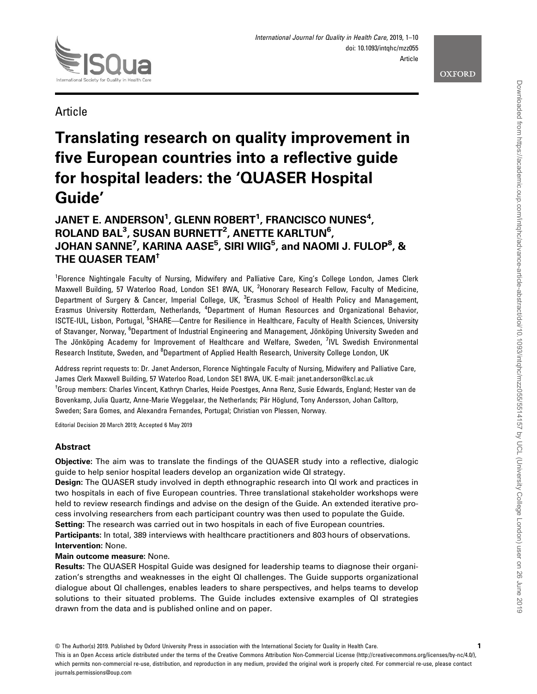



**Article** 

# Translating research on quality improvement in five European countries into a reflective guide for hospital leaders: the 'QUASER Hospital Guide'

## JANET E. ANDERSON $^{\rm 1}$ , GLENN ROBERT $^{\rm 1}$ , FRANCISCO NUNES $^{\rm 4}$ ,  $\mathsf{ROLAND} \mathbin{\mathsf{BAL}}^3$ , SUSAN BURNETT $^2$ , ANETTE KARLTUN $^6$ , JOHAN SANNE<sup>7</sup>, KARINA AASE<sup>5</sup>, SIRI WIIG<sup>5</sup>, and NAOMI J. FULOP<sup>8</sup>, & THE QUASER TEAM†

<sup>1</sup>Florence Nightingale Faculty of Nursing, Midwifery and Palliative Care, King's College London, James Clerk Maxwell Building, 57 Waterloo Road, London SE1 8WA, UK, <sup>2</sup>Honorary Research Fellow, Faculty of Medicine, Department of Surgery & Cancer, Imperial College, UK, <sup>3</sup>Erasmus School of Health Policy and Management, Erasmus University Rotterdam, Netherlands, <sup>4</sup>Department of Human Resources and Organizational Behavior, ISCTE-IUL, Lisbon, Portugal, <sup>5</sup>SHARE—Centre for Resilience in Healthcare, Faculty of Health Sciences, University of Stavanger, Norway, <sup>6</sup>Department of Industrial Engineering and Management, Jönköping University Sweden and The Jönköping Academy for Improvement of Healthcare and Welfare, Sweden, <sup>7</sup>IVL Swedish Environmental Research Institute, Sweden, and <sup>8</sup>Department of Applied Health Research, University College London, UK

Address reprint requests to: Dr. Janet Anderson, Florence Nightingale Faculty of Nursing, Midwifery and Palliative Care, James Clerk Maxwell Building, 57 Waterloo Road, London SE1 8WA, UK. E-mail: janet.anderson@kcl.ac.uk <sup>†</sup>Group members: Charles Vincent, Kathryn Charles, Heide Poestges, Anna Renz, Susie Edwards, England; Hester van de Bovenkamp, Julia Quartz, Anne-Marie Weggelaar, the Netherlands; Pär Höglund, Tony Andersson, Johan Calltorp, Sweden; Sara Gomes, and Alexandra Fernandes, Portugal; Christian von Plessen, Norway.

Editorial Decision 20 March 2019; Accepted 6 May 2019

## **Abstract**

Objective: The aim was to translate the findings of the QUASER study into a reflective, dialogic guide to help senior hospital leaders develop an organization wide QI strategy.

Design: The QUASER study involved in depth ethnographic research into QI work and practices in two hospitals in each of five European countries. Three translational stakeholder workshops were held to review research findings and advise on the design of the Guide. An extended iterative process involving researchers from each participant country was then used to populate the Guide.

Setting: The research was carried out in two hospitals in each of five European countries.

Participants: In total, 389 interviews with healthcare practitioners and 803 hours of observations. Intervention: None.

Main outcome measure: None.

Results: The QUASER Hospital Guide was designed for leadership teams to diagnose their organization's strengths and weaknesses in the eight QI challenges. The Guide supports organizational dialogue about QI challenges, enables leaders to share perspectives, and helps teams to develop solutions to their situated problems. The Guide includes extensive examples of QI strategies drawn from the data and is published online and on paper.

This is an Open Access article distributed under the terms of the Creative Commons Attribution Non-Commercial License (<http://creativecommons.org/licenses/by-nc/4.0/>), which permits non-commercial re-use, distribution, and reproduction in any medium, provided the original work is properly cited. For commercial re-use, please contact journals.permissions@oup.com

<sup>©</sup> The Author(s) 2019. Published by Oxford University Press in association with the International Society for Quality in Health Care. 1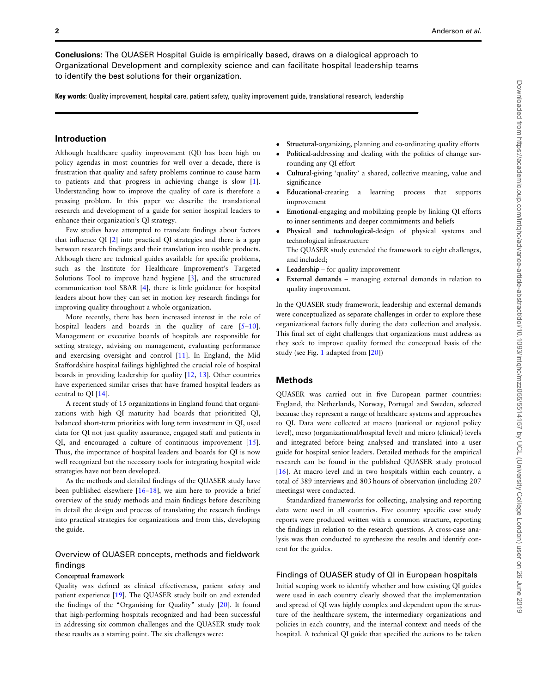Conclusions: The QUASER Hospital Guide is empirically based, draws on a dialogical approach to Organizational Development and complexity science and can facilitate hospital leadership teams to identify the best solutions for their organization.

Key words: Quality improvement, hospital care, patient safety, quality improvement guide, translational research, leadership

## Introduction

Although healthcare quality improvement (QI) has been high on policy agendas in most countries for well over a decade, there is frustration that quality and safety problems continue to cause harm to patients and that progress in achieving change is slow [[1](#page-8-0)]. Understanding how to improve the quality of care is therefore a pressing problem. In this paper we describe the translational research and development of a guide for senior hospital leaders to enhance their organization's QI strategy.

Few studies have attempted to translate findings about factors that influence QI [[2](#page-8-0)] into practical QI strategies and there is a gap between research findings and their translation into usable products. Although there are technical guides available for specific problems, such as the Institute for Healthcare Improvement's Targeted Solutions Tool to improve hand hygiene [\[3\]](#page-8-0), and the structured communication tool SBAR [[4\]](#page-8-0), there is little guidance for hospital leaders about how they can set in motion key research findings for improving quality throughout a whole organization.

More recently, there has been increased interest in the role of hospital leaders and boards in the quality of care [\[5](#page-8-0)-[10](#page-9-0)]. Management or executive boards of hospitals are responsible for setting strategy, advising on management, evaluating performance and exercising oversight and control [\[11\]](#page-9-0). In England, the Mid Staffordshire hospital failings highlighted the crucial role of hospital boards in providing leadership for quality [\[12,](#page-9-0) [13\]](#page-9-0). Other countries have experienced similar crises that have framed hospital leaders as central to QI [[14](#page-9-0)].

A recent study of 15 organizations in England found that organizations with high QI maturity had boards that prioritized QI, balanced short-term priorities with long term investment in QI, used data for QI not just quality assurance, engaged staff and patients in QI, and encouraged a culture of continuous improvement [\[15](#page-9-0)]. Thus, the importance of hospital leaders and boards for QI is now well recognized but the necessary tools for integrating hospital wide strategies have not been developed.

As the methods and detailed findings of the QUASER study have been published elsewhere [\[16](#page-9-0)–[18\]](#page-9-0), we aim here to provide a brief overview of the study methods and main findings before describing in detail the design and process of translating the research findings into practical strategies for organizations and from this, developing the guide.

## Overview of QUASER concepts, methods and fieldwork findings

#### Conceptual framework

Quality was defined as clinical effectiveness, patient safety and patient experience [[19\]](#page-9-0). The QUASER study built on and extended the findings of the "Organising for Quality" study [[20\]](#page-9-0). It found that high-performing hospitals recognized and had been successful in addressing six common challenges and the QUASER study took these results as a starting point. The six challenges were:

- Structural-organizing, planning and co-ordinating quality efforts
- Political-addressing and dealing with the politics of change surrounding any QI effort
- Cultural-giving 'quality' a shared, collective meaning, value and significance
- Educational-creating a learning process that supports improvement
- Emotional-engaging and mobilizing people by linking QI efforts to inner sentiments and deeper commitments and beliefs
- Physical and technological-design of physical systems and technological infrastructure The QUASER study extended the framework to eight challenges, and included;
- Leadership for quality improvement
- External demands managing external demands in relation to quality improvement.

In the QUASER study framework, leadership and external demands were conceptualized as separate challenges in order to explore these organizational factors fully during the data collection and analysis. This final set of eight challenges that organizations must address as they seek to improve quality formed the conceptual basis of the study (see Fig. [1](#page-2-0) adapted from [\[20\]](#page-9-0))

## Methods

QUASER was carried out in five European partner countries: England, the Netherlands, Norway, Portugal and Sweden, selected because they represent a range of healthcare systems and approaches to QI. Data were collected at macro (national or regional policy level), meso (organizational/hospital level) and micro (clinical) levels and integrated before being analysed and translated into a user guide for hospital senior leaders. Detailed methods for the empirical research can be found in the published QUASER study protocol [[16](#page-9-0)]. At macro level and in two hospitals within each country, a total of 389 interviews and 803 hours of observation (including 207 meetings) were conducted.

Standardized frameworks for collecting, analysing and reporting data were used in all countries. Five country specific case study reports were produced written with a common structure, reporting the findings in relation to the research questions. A cross-case analysis was then conducted to synthesize the results and identify content for the guides.

#### Findings of QUASER study of QI in European hospitals

Initial scoping work to identify whether and how existing QI guides were used in each country clearly showed that the implementation and spread of QI was highly complex and dependent upon the structure of the healthcare system, the intermediary organizations and policies in each country, and the internal context and needs of the hospital. A technical QI guide that specified the actions to be taken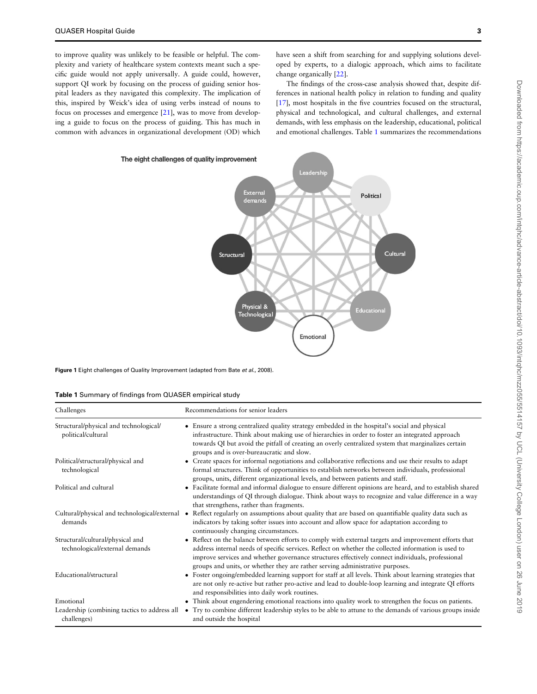<span id="page-2-0"></span>to improve quality was unlikely to be feasible or helpful. The complexity and variety of healthcare system contexts meant such a specific guide would not apply universally. A guide could, however, support QI work by focusing on the process of guiding senior hospital leaders as they navigated this complexity. The implication of this, inspired by Weick's idea of using verbs instead of nouns to focus on processes and emergence [[21\]](#page-9-0), was to move from developing a guide to focus on the process of guiding. This has much in common with advances in organizational development (OD) which have seen a shift from searching for and supplying solutions developed by experts, to a dialogic approach, which aims to facilitate change organically [[22](#page-9-0)].

The findings of the cross-case analysis showed that, despite differences in national health policy in relation to funding and quality [[17](#page-9-0)], most hospitals in the five countries focused on the structural, physical and technological, and cultural challenges, and external demands, with less emphasis on the leadership, educational, political and emotional challenges. Table 1 summarizes the recommendations



Figure 1 Eight challenges of Quality Improvement (adapted from Bate et al., 2008).

|  |  |  |  | Table 1 Summary of findings from QUASER empirical study |
|--|--|--|--|---------------------------------------------------------|
|--|--|--|--|---------------------------------------------------------|

| Challenges                                                         | Recommendations for senior leaders                                                                                                                                                                                                                                                                                                                                                                 |
|--------------------------------------------------------------------|----------------------------------------------------------------------------------------------------------------------------------------------------------------------------------------------------------------------------------------------------------------------------------------------------------------------------------------------------------------------------------------------------|
| Structural/physical and technological/<br>political/cultural       | • Ensure a strong centralized quality strategy embedded in the hospital's social and physical<br>infrastructure. Think about making use of hierarchies in order to foster an integrated approach<br>towards QI but avoid the pitfall of creating an overly centralized system that marginalizes certain<br>groups and is over-bureaucratic and slow.                                               |
| Political/structural/physical and<br>technological                 | • Create spaces for informal negotiations and collaborative reflections and use their results to adapt<br>formal structures. Think of opportunities to establish networks between individuals, professional<br>groups, units, different organizational levels, and between patients and staff.                                                                                                     |
| Political and cultural                                             | • Facilitate formal and informal dialogue to ensure different opinions are heard, and to establish shared<br>understandings of QI through dialogue. Think about ways to recognize and value difference in a way<br>that strengthens, rather than fragments.                                                                                                                                        |
| Cultural/physical and technological/external •<br>demands          | Reflect regularly on assumptions about quality that are based on quantifiable quality data such as<br>indicators by taking softer issues into account and allow space for adaptation according to<br>continuously changing circumstances.                                                                                                                                                          |
| Structural/cultural/physical and<br>technological/external demands | • Reflect on the balance between efforts to comply with external targets and improvement efforts that<br>address internal needs of specific services. Reflect on whether the collected information is used to<br>improve services and whether governance structures effectively connect individuals, professional<br>groups and units, or whether they are rather serving administrative purposes. |
| Educational/structural                                             | • Foster ongoing/embedded learning support for staff at all levels. Think about learning strategies that<br>are not only re-active but rather pro-active and lead to double-loop learning and integrate QI efforts<br>and responsibilities into daily work routines.                                                                                                                               |
| Emotional                                                          | • Think about engendering emotional reactions into quality work to strengthen the focus on patients.                                                                                                                                                                                                                                                                                               |
| Leadership (combining tactics to address all<br>challenges)        | Try to combine different leadership styles to be able to attune to the demands of various groups inside<br>$\bullet$<br>and outside the hospital                                                                                                                                                                                                                                                   |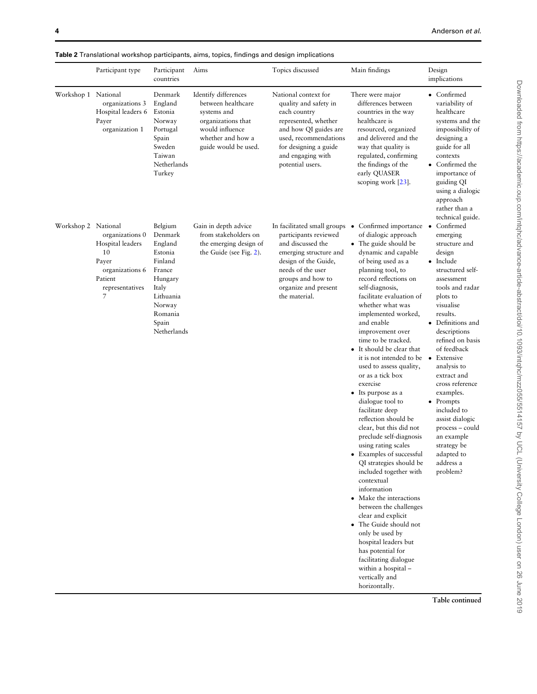<span id="page-3-0"></span>Table 2 Translational workshop participants, aims, topics, findings and design implications

|                     | Participant type                                                                                         | Participant<br>countries                                                                                                                    | Aims                                                                                                                                            | Topics discussed                                                                                                                                                                                               | Main findings                                                                                                                                                                                                                                                                                                                                                                                                                                                                                                                                                                                                                                                                                                                                                                                                                                                                                                                                                                          | Design<br>implications                                                                                                                                                                                                                                                                                                                                                                                                                                     |
|---------------------|----------------------------------------------------------------------------------------------------------|---------------------------------------------------------------------------------------------------------------------------------------------|-------------------------------------------------------------------------------------------------------------------------------------------------|----------------------------------------------------------------------------------------------------------------------------------------------------------------------------------------------------------------|----------------------------------------------------------------------------------------------------------------------------------------------------------------------------------------------------------------------------------------------------------------------------------------------------------------------------------------------------------------------------------------------------------------------------------------------------------------------------------------------------------------------------------------------------------------------------------------------------------------------------------------------------------------------------------------------------------------------------------------------------------------------------------------------------------------------------------------------------------------------------------------------------------------------------------------------------------------------------------------|------------------------------------------------------------------------------------------------------------------------------------------------------------------------------------------------------------------------------------------------------------------------------------------------------------------------------------------------------------------------------------------------------------------------------------------------------------|
| Workshop 1 National | organizations 3<br>Hospital leaders 6<br>Payer<br>organization 1                                         | Denmark<br>England<br>Estonia<br>Norway<br>Portugal<br>Spain<br>Sweden<br>Taiwan<br>Netherlands<br>Turkey                                   | Identify differences<br>between healthcare<br>systems and<br>organizations that<br>would influence<br>whether and how a<br>guide would be used. | National context for<br>quality and safety in<br>each country<br>represented, whether<br>and how QI guides are<br>used, recommendations<br>for designing a guide<br>and engaging with<br>potential users.      | There were major<br>differences between<br>countries in the way<br>healthcare is<br>resourced, organized<br>and delivered and the<br>way that quality is<br>regulated, confirming<br>the findings of the<br>early QUASER<br>scoping work [23].                                                                                                                                                                                                                                                                                                                                                                                                                                                                                                                                                                                                                                                                                                                                         | • Confirmed<br>variability of<br>healthcare<br>systems and the<br>impossibility of<br>designing a<br>guide for all<br>contexts<br>• Confirmed the<br>importance of<br>guiding QI<br>using a dialogic<br>approach<br>rather than a<br>technical guide.                                                                                                                                                                                                      |
| Workshop 2 National | organizations 0<br>Hospital leaders<br>10<br>Payer<br>organizations 6<br>Patient<br>representatives<br>7 | Belgium<br>Denmark<br>England<br>Estonia<br>Finland<br>France<br>Hungary<br>Italy<br>Lithuania<br>Norway<br>Romania<br>Spain<br>Netherlands | Gain in depth advice<br>from stakeholders on<br>the emerging design of<br>the Guide (see Fig. 2).                                               | In facilitated small groups<br>participants reviewed<br>and discussed the<br>emerging structure and<br>design of the Guide,<br>needs of the user<br>groups and how to<br>organize and present<br>the material. | Confirmed importance<br>$\bullet$<br>of dialogic approach<br>The guide should be<br>dynamic and capable<br>of being used as a<br>planning tool, to<br>record reflections on<br>self-diagnosis,<br>facilitate evaluation of<br>whether what was<br>implemented worked,<br>and enable<br>improvement over<br>time to be tracked.<br>It should be clear that<br>it is not intended to be<br>used to assess quality,<br>or as a tick box<br>exercise<br>• Its purpose as a<br>dialogue tool to<br>facilitate deep<br>reflection should be<br>clear, but this did not<br>preclude self-diagnosis<br>using rating scales<br>Examples of successful<br>QI strategies should be<br>included together with<br>contextual<br>information<br>• Make the interactions<br>between the challenges<br>clear and explicit<br>• The Guide should not<br>only be used by<br>hospital leaders but<br>has potential for<br>facilitating dialogue<br>within a hospital -<br>vertically and<br>horizontally. | Confirmed<br>emerging<br>structure and<br>design<br>• Include<br>structured self-<br>assessment<br>tools and radar<br>plots to<br>visualise<br>results.<br>• Definitions and<br>descriptions<br>refined on basis<br>of feedback<br>• Extensive<br>analysis to<br>extract and<br>cross reference<br>examples.<br>$\bullet$ Prompts<br>included to<br>assist dialogic<br>process - could<br>an example<br>strategy be<br>adapted to<br>address a<br>problem? |
|                     |                                                                                                          |                                                                                                                                             |                                                                                                                                                 |                                                                                                                                                                                                                |                                                                                                                                                                                                                                                                                                                                                                                                                                                                                                                                                                                                                                                                                                                                                                                                                                                                                                                                                                                        | Table continued                                                                                                                                                                                                                                                                                                                                                                                                                                            |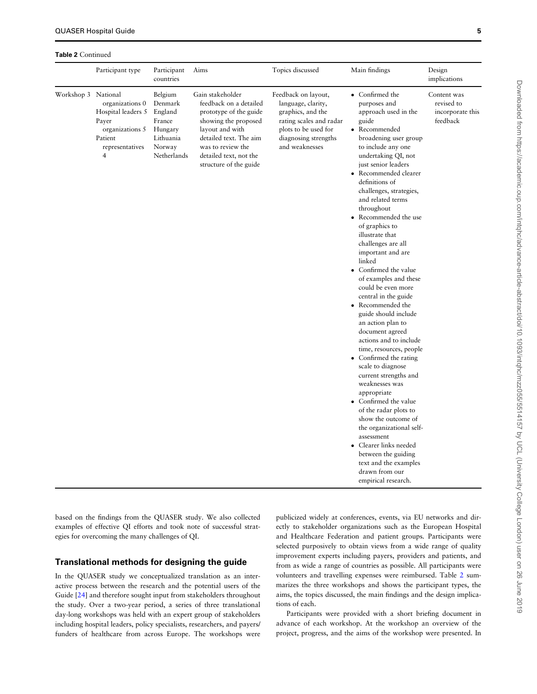Table 2 Continued

|                     | Participant type                                                                                                  | Participant<br>countries                                                                 | Aims                                                                                                                                                                                                               | Topics discussed                                                                                                                                            | Main findings                                                                                                                                                                                                                                                                                                                                                                                                                                                                                                                                                                                                                                                                                                                                                                                                                                                                                                                                                                               | Design<br>implications                                    |
|---------------------|-------------------------------------------------------------------------------------------------------------------|------------------------------------------------------------------------------------------|--------------------------------------------------------------------------------------------------------------------------------------------------------------------------------------------------------------------|-------------------------------------------------------------------------------------------------------------------------------------------------------------|---------------------------------------------------------------------------------------------------------------------------------------------------------------------------------------------------------------------------------------------------------------------------------------------------------------------------------------------------------------------------------------------------------------------------------------------------------------------------------------------------------------------------------------------------------------------------------------------------------------------------------------------------------------------------------------------------------------------------------------------------------------------------------------------------------------------------------------------------------------------------------------------------------------------------------------------------------------------------------------------|-----------------------------------------------------------|
| Workshop 3 National | organizations 0<br>Hospital leaders 5<br>Payer<br>organizations 5<br>Patient<br>representatives<br>$\overline{4}$ | Belgium<br>Denmark<br>England<br>France<br>Hungary<br>Lithuania<br>Norway<br>Netherlands | Gain stakeholder<br>feedback on a detailed<br>prototype of the guide<br>showing the proposed<br>layout and with<br>detailed text. The aim<br>was to review the<br>detailed text, not the<br>structure of the guide | Feedback on layout,<br>language, clarity,<br>graphics, and the<br>rating scales and radar<br>plots to be used for<br>diagnosing strengths<br>and weaknesses | • Confirmed the<br>purposes and<br>approach used in the<br>guide<br>• Recommended<br>broadening user group<br>to include any one<br>undertaking QI, not<br>just senior leaders<br>Recommended clearer<br>definitions of<br>challenges, strategies,<br>and related terms<br>throughout<br>• Recommended the use<br>of graphics to<br>illustrate that<br>challenges are all<br>important and are<br>linked<br>• Confirmed the value<br>of examples and these<br>could be even more<br>central in the guide<br>Recommended the<br>guide should include<br>an action plan to<br>document agreed<br>actions and to include<br>time, resources, people<br>Confirmed the rating<br>scale to diagnose<br>current strengths and<br>weaknesses was<br>appropriate<br>Confirmed the value<br>of the radar plots to<br>show the outcome of<br>the organizational self-<br>assessment<br>• Clearer links needed<br>between the guiding<br>text and the examples<br>drawn from our<br>empirical research. | Content was<br>revised to<br>incorporate this<br>feedback |

based on the findings from the QUASER study. We also collected examples of effective QI efforts and took note of successful strategies for overcoming the many challenges of QI.

## Translational methods for designing the guide

In the QUASER study we conceptualized translation as an interactive process between the research and the potential users of the Guide [\[24](#page-9-0)] and therefore sought input from stakeholders throughout the study. Over a two-year period, a series of three translational day-long workshops was held with an expert group of stakeholders including hospital leaders, policy specialists, researchers, and payers/ funders of healthcare from across Europe. The workshops were publicized widely at conferences, events, via EU networks and directly to stakeholder organizations such as the European Hospital and Healthcare Federation and patient groups. Participants were selected purposively to obtain views from a wide range of quality improvement experts including payers, providers and patients, and from as wide a range of countries as possible. All participants were volunteers and travelling expenses were reimbursed. Table [2](#page-3-0) summarizes the three workshops and shows the participant types, the aims, the topics discussed, the main findings and the design implications of each.

Participants were provided with a short briefing document in advance of each workshop. At the workshop an overview of the project, progress, and the aims of the workshop were presented. In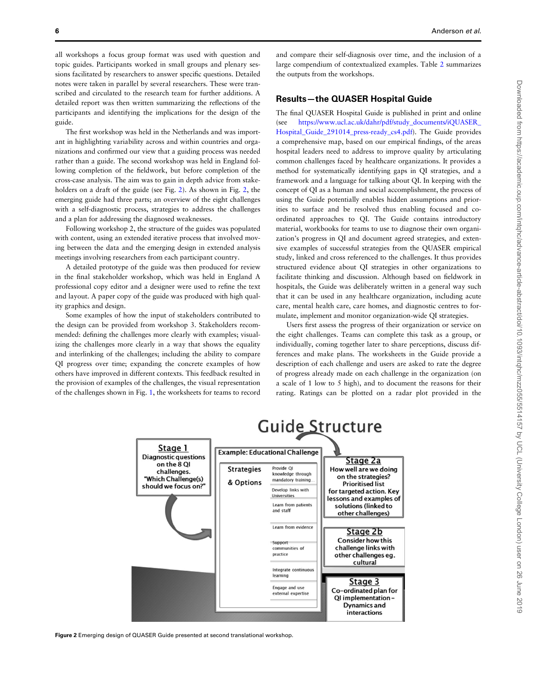<span id="page-5-0"></span>all workshops a focus group format was used with question and topic guides. Participants worked in small groups and plenary sessions facilitated by researchers to answer specific questions. Detailed notes were taken in parallel by several researchers. These were transcribed and circulated to the research team for further additions. A detailed report was then written summarizing the reflections of the participants and identifying the implications for the design of the guide.

The first workshop was held in the Netherlands and was important in highlighting variability across and within countries and organizations and confirmed our view that a guiding process was needed rather than a guide. The second workshop was held in England following completion of the fieldwork, but before completion of the cross-case analysis. The aim was to gain in depth advice from stakeholders on a draft of the guide (see Fig. 2). As shown in Fig. 2, the emerging guide had three parts; an overview of the eight challenges with a self-diagnostic process, strategies to address the challenges and a plan for addressing the diagnosed weaknesses.

Following workshop 2, the structure of the guides was populated with content, using an extended iterative process that involved moving between the data and the emerging design in extended analysis meetings involving researchers from each participant country.

A detailed prototype of the guide was then produced for review in the final stakeholder workshop, which was held in England A professional copy editor and a designer were used to refine the text and layout. A paper copy of the guide was produced with high quality graphics and design.

Some examples of how the input of stakeholders contributed to the design can be provided from workshop 3. Stakeholders recommended: defining the challenges more clearly with examples; visualizing the challenges more clearly in a way that shows the equality and interlinking of the challenges; including the ability to compare QI progress over time; expanding the concrete examples of how others have improved in different contexts. This feedback resulted in the provision of examples of the challenges, the visual representation of the challenges shown in Fig. [1](#page-2-0), the worksheets for teams to record Downloaded from https://academic.oup.com/intqhc/advance-article-abstract/doi/10.1093/intqhc/mz2055/5514157 by UCL (University College London) user on 26 June 2019 Downloaded from https://academic.oup.com/intqhc/advance-article-abstract/doi/10.1093/intqhc/mzz055/5514157 by UCL (University College London) user on 26 June 2019

and compare their self-diagnosis over time, and the inclusion of a large compendium of contextualized examples. Table [2](#page-3-0) summarizes the outputs from the workshops.

## Results—the QUASER Hospital Guide

The final QUASER Hospital Guide is published in print and online (see [https://www.ucl.ac.uk/dahr/pdf/study\\_documents/iQUASER\\_](https://www.ucl.ac.uk/dahr/pdf/study_documents/iQUASER_Hospital_Guide_291014_press-ready_cs4.pdf) Hospital Guide 291014 press-ready cs4.pdf). The Guide provides a comprehensive map, based on our empirical findings, of the areas hospital leaders need to address to improve quality by articulating common challenges faced by healthcare organizations. It provides a method for systematically identifying gaps in QI strategies, and a framework and a language for talking about QI. In keeping with the concept of QI as a human and social accomplishment, the process of using the Guide potentially enables hidden assumptions and priorities to surface and be resolved thus enabling focused and coordinated approaches to QI. The Guide contains introductory material, workbooks for teams to use to diagnose their own organization's progress in QI and document agreed strategies, and extensive examples of successful strategies from the QUASER empirical study, linked and cross referenced to the challenges. It thus provides structured evidence about QI strategies in other organizations to facilitate thinking and discussion. Although based on fieldwork in hospitals, the Guide was deliberately written in a general way such that it can be used in any healthcare organization, including acute care, mental health care, care homes, and diagnostic centres to formulate, implement and monitor organization-wide QI strategies.

Users first assess the progress of their organization or service on the eight challenges. Teams can complete this task as a group, or individually, coming together later to share perceptions, discuss differences and make plans. The worksheets in the Guide provide a description of each challenge and users are asked to rate the degree of progress already made on each challenge in the organization (on a scale of 1 low to 5 high), and to document the reasons for their rating. Ratings can be plotted on a radar plot provided in the



Figure 2 Emerging design of QUASER Guide presented at second translational workshop.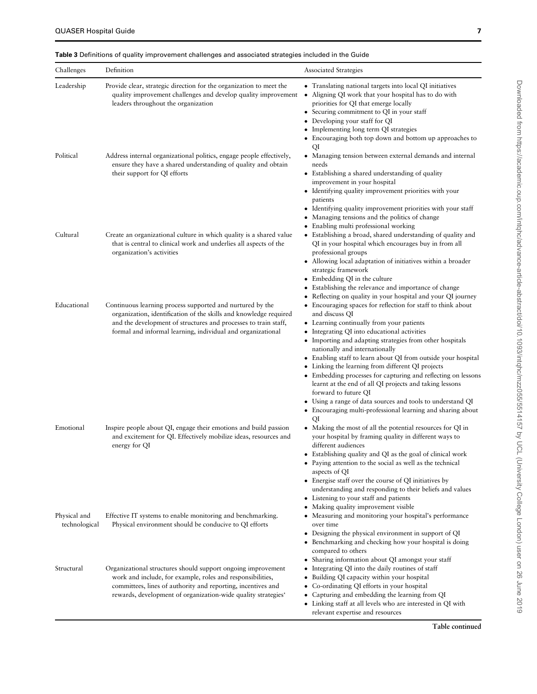<span id="page-6-0"></span>Table 3 Definitions of quality improvement challenges and associated strategies included in the Guide

| Challenges                    | Definition                                                                                                                                                                                                                                                       | Associated Strategies                                                                                                                                                                                                                                                                                                                                                                                                                                                                                                                                                                                                                                                                                                                                                  |
|-------------------------------|------------------------------------------------------------------------------------------------------------------------------------------------------------------------------------------------------------------------------------------------------------------|------------------------------------------------------------------------------------------------------------------------------------------------------------------------------------------------------------------------------------------------------------------------------------------------------------------------------------------------------------------------------------------------------------------------------------------------------------------------------------------------------------------------------------------------------------------------------------------------------------------------------------------------------------------------------------------------------------------------------------------------------------------------|
| Leadership                    | Provide clear, strategic direction for the organization to meet the<br>quality improvement challenges and develop quality improvement<br>leaders throughout the organization                                                                                     | • Translating national targets into local QI initiatives<br>Aligning QI work that your hospital has to do with<br>$\bullet$<br>priorities for QI that emerge locally<br>• Securing commitment to QI in your staff<br>Developing your staff for QI<br>Implementing long term QI strategies<br>Encouraging both top down and bottom up approaches to                                                                                                                                                                                                                                                                                                                                                                                                                     |
| Political                     | Address internal organizational politics, engage people effectively,<br>ensure they have a shared understanding of quality and obtain<br>their support for QI efforts                                                                                            | QI<br>• Managing tension between external demands and internal<br>needs<br>Establishing a shared understanding of quality<br>improvement in your hospital<br>• Identifying quality improvement priorities with your<br>patients<br>• Identifying quality improvement priorities with your staff<br>Managing tensions and the politics of change<br>$\bullet$                                                                                                                                                                                                                                                                                                                                                                                                           |
| Cultural                      | Create an organizational culture in which quality is a shared value<br>that is central to clinical work and underlies all aspects of the<br>organization's activities                                                                                            | Enabling multi professional working<br>• Establishing a broad, shared understanding of quality and<br>QI in your hospital which encourages buy in from all<br>professional groups<br>Allowing local adaptation of initiatives within a broader<br>strategic framework<br>Embedding QI in the culture<br>Establishing the relevance and importance of change                                                                                                                                                                                                                                                                                                                                                                                                            |
| Educational                   | Continuous learning process supported and nurtured by the<br>organization, identification of the skills and knowledge required<br>and the development of structures and processes to train staff,<br>formal and informal learning, individual and organizational | Reflecting on quality in your hospital and your QI journey<br>$\bullet$<br>Encouraging spaces for reflection for staff to think about<br>and discuss QI<br>• Learning continually from your patients<br>Integrating QI into educational activities<br>Importing and adapting strategies from other hospitals<br>nationally and internationally<br>• Enabling staff to learn about QI from outside your hospital<br>• Linking the learning from different QI projects<br>• Embedding processes for capturing and reflecting on lessons<br>learnt at the end of all QI projects and taking lessons<br>forward to future QI<br>• Using a range of data sources and tools to understand QI<br>Encouraging multi-professional learning and sharing about<br>$\bullet$<br>QI |
| Emotional                     | Inspire people about QI, engage their emotions and build passion<br>and excitement for QI. Effectively mobilize ideas, resources and<br>energy for QI                                                                                                            | • Making the most of all the potential resources for QI in<br>your hospital by framing quality in different ways to<br>different audiences<br>• Establishing quality and QI as the goal of clinical work<br>• Paying attention to the social as well as the technical<br>aspects of QI<br>• Energise staff over the course of QI initiatives by<br>understanding and responding to their beliefs and values<br>• Listening to your staff and patients<br>• Making quality improvement visible                                                                                                                                                                                                                                                                          |
| Physical and<br>technological | Effective IT systems to enable monitoring and benchmarking.<br>Physical environment should be conducive to QI efforts                                                                                                                                            | Measuring and monitoring your hospital's performance<br>over time<br>• Designing the physical environment in support of QI<br>Benchmarking and checking how your hospital is doing<br>compared to others<br>Sharing information about QI amongst your staff<br>$\bullet$                                                                                                                                                                                                                                                                                                                                                                                                                                                                                               |
| Structural                    | Organizational structures should support ongoing improvement<br>work and include, for example, roles and responsibilities,<br>committees, lines of authority and reporting, incentives and<br>rewards, development of organization-wide quality strategies'      | Integrating QI into the daily routines of staff<br>Building QI capacity within your hospital<br>$\bullet$<br>Co-ordinating QI efforts in your hospital<br>$\bullet$<br>Capturing and embedding the learning from QI<br>Linking staff at all levels who are interested in QI with<br>$\bullet$<br>relevant expertise and resources                                                                                                                                                                                                                                                                                                                                                                                                                                      |

Table continued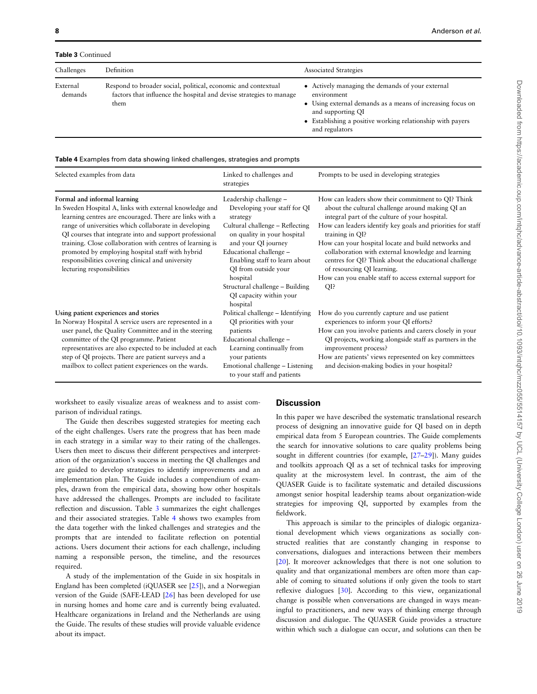Table 3 Continued

| Challenges          | Definition                                                                                                                                   | <b>Associated Strategies</b>                                                                                                                                                                                                       |
|---------------------|----------------------------------------------------------------------------------------------------------------------------------------------|------------------------------------------------------------------------------------------------------------------------------------------------------------------------------------------------------------------------------------|
| External<br>demands | Respond to broader social, political, economic and contextual<br>factors that influence the hospital and devise strategies to manage<br>them | • Actively managing the demands of your external<br>environment<br>• Using external demands as a means of increasing focus on<br>and supporting QI<br>• Establishing a positive working relationship with payers<br>and regulators |

#### Table 4 Examples from data showing linked challenges, strategies and prompts

| Selected examples from data                                                                                                                                                                                                                                                                                                                                                                                                                                                | Linked to challenges and<br>strategies                                                                                                                                                                                                                                                                                                | Prompts to be used in developing strategies                                                                                                                                                                                                                                                                                                                                                                                                                                                                      |
|----------------------------------------------------------------------------------------------------------------------------------------------------------------------------------------------------------------------------------------------------------------------------------------------------------------------------------------------------------------------------------------------------------------------------------------------------------------------------|---------------------------------------------------------------------------------------------------------------------------------------------------------------------------------------------------------------------------------------------------------------------------------------------------------------------------------------|------------------------------------------------------------------------------------------------------------------------------------------------------------------------------------------------------------------------------------------------------------------------------------------------------------------------------------------------------------------------------------------------------------------------------------------------------------------------------------------------------------------|
| Formal and informal learning<br>In Sweden Hospital A, links with external knowledge and<br>learning centres are encouraged. There are links with a<br>range of universities which collaborate in developing<br>QI courses that integrate into and support professional<br>training. Close collaboration with centres of learning is<br>promoted by employing hospital staff with hybrid<br>responsibilities covering clinical and university<br>lecturing responsibilities | Leadership challenge -<br>Developing your staff for QI<br>strategy<br>Cultural challenge - Reflecting<br>on quality in your hospital<br>and your QI journey<br>Educational challenge -<br>Enabling staff to learn about<br>QI from outside your<br>hospital<br>Structural challenge – Building<br>QI capacity within your<br>hospital | How can leaders show their commitment to QI? Think<br>about the cultural challenge around making QI an<br>integral part of the culture of your hospital.<br>How can leaders identify key goals and priorities for staff<br>training in QI?<br>How can your hospital locate and build networks and<br>collaboration with external knowledge and learning<br>centres for QI? Think about the educational challenge<br>of resourcing QI learning.<br>How can you enable staff to access external support for<br>QI? |
| Using patient experiences and stories<br>In Norway Hospital A service users are represented in a<br>user panel, the Quality Committee and in the steering<br>committee of the QI programme. Patient<br>representatives are also expected to be included at each<br>step of QI projects. There are patient surveys and a<br>mailbox to collect patient experiences on the wards.                                                                                            | Political challenge - Identifying<br>QI priorities with your<br>patients<br>Educational challenge -<br>Learning continually from<br>your patients<br>Emotional challenge – Listening<br>to your staff and patients                                                                                                                    | How do you currently capture and use patient<br>experiences to inform your QI efforts?<br>How can you involve patients and carers closely in your<br>QI projects, working alongside staff as partners in the<br>improvement process?<br>How are patients' views represented on key committees<br>and decision-making bodies in your hospital?                                                                                                                                                                    |

worksheet to easily visualize areas of weakness and to assist comparison of individual ratings.

The Guide then describes suggested strategies for meeting each of the eight challenges. Users rate the progress that has been made in each strategy in a similar way to their rating of the challenges. Users then meet to discuss their different perspectives and interpretation of the organization's success in meeting the QI challenges and are guided to develop strategies to identify improvements and an implementation plan. The Guide includes a compendium of examples, drawn from the empirical data, showing how other hospitals have addressed the challenges. Prompts are included to facilitate reflection and discussion. Table [3](#page-6-0) summarizes the eight challenges and their associated strategies. Table 4 shows two examples from the data together with the linked challenges and strategies and the prompts that are intended to facilitate reflection on potential actions. Users document their actions for each challenge, including naming a responsible person, the timeline, and the resources required.

A study of the implementation of the Guide in six hospitals in England has been completed (iQUASER see [\[25](#page-9-0)]), and a Norwegian version of the Guide (SAFE-LEAD [\[26](#page-9-0)] has been developed for use in nursing homes and home care and is currently being evaluated. Healthcare organizations in Ireland and the Netherlands are using the Guide. The results of these studies will provide valuable evidence about its impact.

## **Discussion**

In this paper we have described the systematic translational research process of designing an innovative guide for QI based on in depth empirical data from 5 European countries. The Guide complements the search for innovative solutions to care quality problems being sought in different countries (for example, [\[27](#page-9-0)–[29\]](#page-9-0)). Many guides and toolkits approach QI as a set of technical tasks for improving quality at the microsystem level. In contrast, the aim of the QUASER Guide is to facilitate systematic and detailed discussions amongst senior hospital leadership teams about organization-wide strategies for improving QI, supported by examples from the fieldwork.

This approach is similar to the principles of dialogic organizational development which views organizations as socially constructed realities that are constantly changing in response to conversations, dialogues and interactions between their members [[20](#page-9-0)]. It moreover acknowledges that there is not one solution to quality and that organizational members are often more than capable of coming to situated solutions if only given the tools to start reflexive dialogues [\[30](#page-9-0)]. According to this view, organizational change is possible when conversations are changed in ways meaningful to practitioners, and new ways of thinking emerge through discussion and dialogue. The QUASER Guide provides a structure within which such a dialogue can occur, and solutions can then be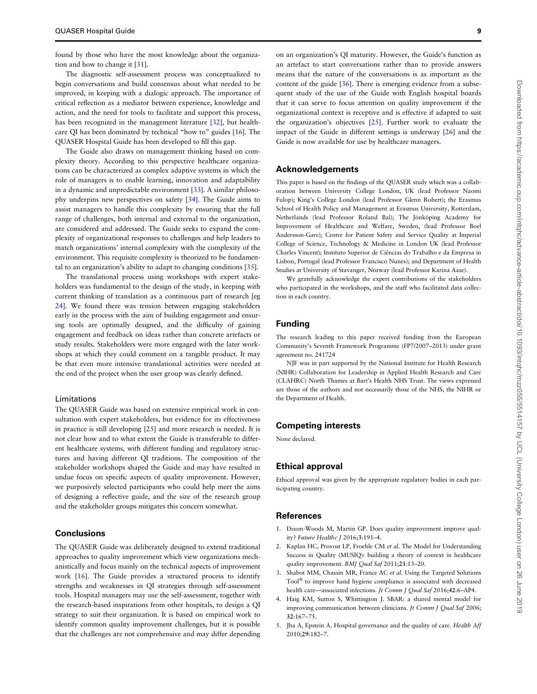<span id="page-8-0"></span>found by those who have the most knowledge about the organization and how to change it [[31\]](#page-9-0).

The diagnostic self-assessment process was conceptualized to begin conversations and build consensus about what needed to be improved, in keeping with a dialogic approach. The importance of critical reflection as a mediator between experience, knowledge and action, and the need for tools to facilitate and support this process, has been recognized in the management literature [\[32](#page-9-0)], but healthcare QI has been dominated by technical "how to" guides [[16\]](#page-9-0). The QUASER Hospital Guide has been developed to fill this gap.

The Guide also draws on management thinking based on complexity theory. According to this perspective healthcare organizations can be characterized as complex adaptive systems in which the role of managers is to enable learning, innovation and adaptability in a dynamic and unpredictable environment [\[33](#page-9-0)]. A similar philosophy underpins new perspectives on safety [\[34](#page-9-0)]. The Guide aims to assist managers to handle this complexity by ensuring that the full range of challenges, both internal and external to the organization, are considered and addressed. The Guide seeks to expand the complexity of organizational responses to challenges and help leaders to match organizations' internal complexity with the complexity of the environment. This requisite complexity is theorized to be fundamental to an organization's ability to adapt to changing conditions [\[35](#page-9-0)].

The translational process using workshops with expert stakeholders was fundamental to the design of the study, in keeping with current thinking of translation as a continuous part of research [eg [24\]](#page-9-0). We found there was tension between engaging stakeholders early in the process with the aim of building engagement and ensuring tools are optimally designed, and the difficulty of gaining engagement and feedback on ideas rather than concrete artefacts or study results. Stakeholders were more engaged with the later workshops at which they could comment on a tangible product. It may be that even more intensive translational activities were needed at the end of the project when the user group was clearly defined.

#### Limitations

The QUASER Guide was based on extensive empirical work in consultation with expert stakeholders, but evidence for its effectiveness in practice is still developing [[25](#page-9-0)] and more research is needed. It is not clear how and to what extent the Guide is transferable to different healthcare systems, with different funding and regulatory structures and having different QI traditions. The composition of the stakeholder workshops shaped the Guide and may have resulted in undue focus on specific aspects of quality improvement. However, we purposively selected participants who could help meet the aims of designing a reflective guide, and the size of the research group and the stakeholder groups mitigates this concern somewhat.

## **Conclusions**

The QUASER Guide was deliberately designed to extend traditional approaches to quality improvement which view organizations mechanistically and focus mainly on the technical aspects of improvement work [\[16\]](#page-9-0). The Guide provides a structured process to identify strengths and weaknesses in QI strategies through self-assessment tools. Hospital managers may use the self-assessment, together with the research-based inspirations from other hospitals, to design a QI strategy to suit their organization. It is based on empirical work to identify common quality improvement challenges, but it is possible that the challenges are not comprehensive and may differ depending

Downloaded from https://academic.oup.com/intqhc/advance-article-abstract/doi/10.1093/intqhc/mzz055514157 by UCL (University College London) user on 26 June 2019 Downloaded from https://academic.oup.com/intqhc/advance-article-abstract/doi/10.1093/intqhc/mzz055/5514157 by UCL (University College London) user on 26 June 2019

on an organization's QI maturity. However, the Guide's function as an artefact to start conversations rather than to provide answers means that the nature of the conversations is as important as the content of the guide [[36\]](#page-9-0). There is emerging evidence from a subsequent study of the use of the Guide with English hospital boards that it can serve to focus attention on quality improvement if the organizational context is receptive and is effective if adapted to suit the organization's objectives [\[25](#page-9-0)]. Further work to evaluate the impact of the Guide in different settings is underway [[26\]](#page-9-0) and the Guide is now available for use by healthcare managers.

## Acknowledgements

This paper is based on the findings of the QUASER study which was a collaboration between University College London, UK (lead Professor Naomi Fulop); King's College London (lead Professor Glenn Robert); the Erasmus School of Health Policy and Management at Erasmus University, Rotterdam, Netherlands (lead Professor Roland Bal); The Jönköping Academy for Improvement of Healthcare and Welfare, Sweden, (lead Professor Boel Andersson-Gare); Centre for Patient Safety and Service Quality at Imperial College of Science, Technology & Medicine in London UK (lead Professor Charles Vincent); Instituto Superior de Ciências do Trabalho e da Empresa in Lisbon, Portugal (lead Professor Francisco Nunes); and Department of Health Studies at University of Stavanger, Norway (lead Professor Karina Aase).

We gratefully acknowledge the expert contributions of the stakeholders who participated in the workshops, and the staff who facilitated data collection in each country.

## Funding

The research leading to this paper received funding from the European Community's Seventh Framework Programme (FP7/2007–2013) under grant agreement no. 241724

NJF was in part supported by the National Institute for Health Research (NIHR) Collaboration for Leadership in Applied Health Research and Care (CLAHRC) North Thames at Bart's Health NHS Trust. The views expressed are those of the authors and not necessarily those of the NHS, the NIHR or the Department of Health.

## Competing interests

None declared.

## Ethical approval

Ethical approval was given by the appropriate regulatory bodies in each participating country.

#### References

- 1. Dixon-Woods M, Martin GP. Does quality improvement improve quality? Future Healthc J 2016;3:191–4.
- 2. Kaplan HC, Provost LP, Froehle CM et al. The Model for Understanding Success in Quality (MUSIQ): building a theory of context in healthcare quality improvement. BMJ Qual Saf 2011;21:13-20.
- 3. Shabot MM, Chassin MR, France AC et al. Using the Targeted Solutions Tool® to improve hand hygiene compliance is associated with decreased health care—associated infections. Jt Comm J Qual Saf 2016;42:6-AP4.
- 4. Haig KM, Sutton S, Whittington J. SBAR: a shared mental model for improving communication between clinicians. Jt Comm J Qual Saf 2006; 32:167–75.
- 5. Jha A, Epstein A. Hospital governance and the quality of care. Health Aff 2010;29:182–7.